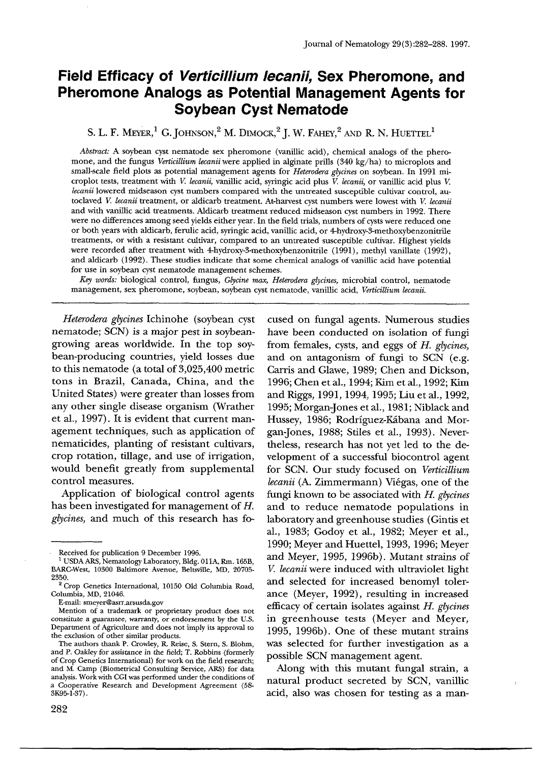# **Field Efficacy of** *Verticillium lecanii,* **Sex Pheromone, and Pheromone Analogs as Potential Management Agents for Soybean Cyst Nematode**

S. L. F. MEYER,<sup>1</sup> G. JOHNSON,<sup>2</sup> M. DIMOCK,<sup>2</sup> J. W. FAHEY,<sup>2</sup> AND R. N. HUETTEL<sup>1</sup>

*Abstract:* A soybean cyst nematode sex pheromone (vanillic acid), chemical analogs of the pheromone, and the fungus *Verticillium lecanii* were applied in alginate prills (340 kg/ha) to microplots and small-scale field plots as potential management agents for *Heterodera glycines* on soybean. In 1991 microplot tests, treatment with V. *lecanii,* vanillic acid, syringic acid plus V. *lecanii,* or vanillic acid plus V. *lecanii* lowered midseason cyst numbers compared with the untreated susceptible cultivar control, autoclaved K *lecanii* treatment, or aldicarb treatment, At-harvest cyst numbers were lowest with V. *lecanii*  and with vanillic acid treatments. Aldicarb treatment reduced midseason cyst numbers in 1992. There were no differences among seed yields either year. In the field trials, numbers of cysts were reduced one or both years with aldicarb, ferulic acid, syringic acid, vanillic acid, or 4-hydroxy-3-methoxybenzonitfile treatments, or with a resistant cultivar, compared to an untreated susceptible culfivar. Highest yields were recorded after treatment with 4-hydroxy-3-methoxybenzonitrile (1991), methyl vanillate (1992), and aldicarb (1992). These studies indicate that some chemical analogs of vanillic acid have potential for use in soybean cyst nematode management schemes.

*Key words:* biological control, fungus, *Glycine max, Heterodera glycines,* microbial control, nematode management, sex pheromone, soybean, soybean cyst nematode, vanillic acid, *Verticillium lecanii.* 

*Heterodera glycines* Ichinohe (soybean cyst nematode; SCN) is a major pest in soybeangrowing areas worldwide. In the top soybean-producing countries, yield losses due to this nematode (a total of 3,025,400 metric tons in Brazil, Canada, China, and the United States) were greater than losses from any other single disease organism (Wrather et al., 1997). It is evident that current management techniques, such as application of nematicides, planting of resistant cultivars, crop rotation, tillage, and use of irrigation, would benefit greatly from supplemental control measures.

Application of biological control agents has been investigated for management of H. *glycines,* and much of this research has **fo-** cused on fungal agents. Numerous studies have been conducted on isolation of fungi from females, cysts, and eggs of *H. glycines,*  and on antagonism of fungi to SCN (e.g. Carris and Glawe, 1989; Chen and Dickson, 1996; Chen et al., 1994; Kim et al., 1992; Kim and Riggs, 1991, 1994, 1995; Liu et al., 1992, 1995; Morgan-Jones et al., 1981; Niblack and Hussey, 1986; Rodríguez-Kábana and Morgan-Jones, 1988; Stiles et al., 1993). Nevertheless, research has not yet led to the development of a successful biocontrol agent for SCN. Our study focused on *Verticillium Iecanii* (A. Zimmermann) Vi6gas, one of the fungi known to be associated with H. *glycines*  and to reduce nematode populations in laboratory and greenhouse studies (Gintis et al., 1983; Godoy et al., 1982; Meyer et al., 1990; Meyer and Huettel, 1993, 1996; Meyer and Meyer, 1995, 1996b). Mutant strains of *V. lecanii* were induced with ultraviolet light and selected for increased benomyl tolerance (Meyer, 1992), resulting in increased efficacy of certain isolates against *H. glycines*  in greenhouse tests (Meyer and Meyer, 1995, 1996b). One of these mutant strains was selected for further investigation as a possible SCN management agent.

Along with this mutant fungal strain, a natural product secreted by SCN, vanillic acid, also was chosen for testing as a man-

Received for publication 9 December 1996.

<sup>&</sup>lt;sup>1</sup> USDA ARS, Nematology Laboratory, Bldg. 011A, Rm. 165B, BARC-West, 10300 Baltimore Avenue, Beltsville, MD, 20705- 2350.

<sup>&</sup>lt;sup>2</sup> Crop Genetics International, 10150 Old Columbia Road, Columbia, MD, 21046.

E-mail: smeyer@asrr.arsusda.gov

Mention of a trademark or proprietary product does not *constitute* a guarantee, wan'anty, or endorsement by the U.S. Department of Agriculture and does not imply its approval to the exclusion of other similar products.

The authors thank P. Crowley, IL Reise, S. Stern, S. Blohm, and P. Oakley for assistance in the field; T. Robbins (formerly of Crop Genetics International) for work on the field research; and M. Camp (Biometrical Consulting Service, ARS) for data analysis. Work with CGI was performed under the conditions of a Cooperative Research and Development Agreement (58- 3K95-1-37).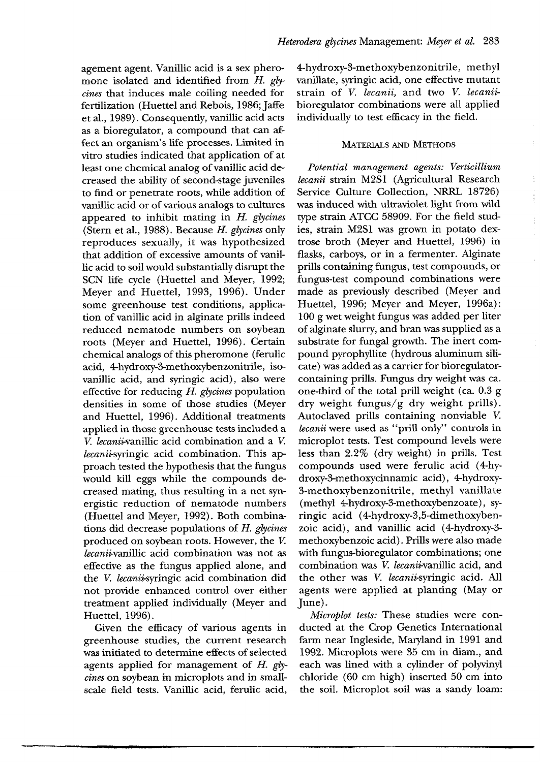agement agent. Vanillic acid is a sex pheromone isolated and identified from *H. glvcines* that induces male coiling needed for fertilization (Huettel and Rebois, 1986; Jaffe et al., 1989). Consequently, vanillic acid acts as a bioregulator, a compound that can affect an organism's life processes. Limited in vitro studies indicated that application of at least one chemical analog of vanillic acid decreased the ability of second-stage juveniles to find or penetrate roots, while addition of vanillic acid or of various analogs to cultures appeared to inhibit mating in *H. glycines*  (Stern et al., 1988). Because *H. glycines* only reproduces sexually, it was hypothesized that addition of excessive amounts of vanillic acid to soil would substantially disrupt the SCN life cycle (Huettel and Meyer, 1992; Meyer and Huettel, 1993, 1996). Under some greenhouse test conditions, application of vanillic acid in alginate prills indeed reduced nematode numbers on soybean roots (Meyer and Huettel, 1996). Certain chemical analogs of this pheromone (ferulic acid, 4-hydroxy-3-methoxybenzonitrile, isovanillic acid, and syringic acid), also were effective for reducing *14. glycines* population densities in some of those studies (Meyer and Huettel, 1996). Additional treatments applied in those greenhouse tests included a *V. lecani;~vanillic* acid combination and a K *lecanii*-syringic acid combination. This approach tested the hypothesis that the fungus would kill eggs while the compounds decreased mating, thus resulting in a net synergistic reduction of nematode numbers (Huettel and Meyer, 1992). Both combinations did decrease populations of *H. glycines*  produced on soybean roots. However, the V. *lecanii-vanillic* acid combination was not as effective as the fungus applied alone, and the V. *lecanii-syringic* acid combination did not provide enhanced control over either treatment applied individually (Meyer and Huettel, 1996).

Given the efficacy of various agents in greenhouse studies, the current research was initiated to determine effects of selected agents applied for management of *H. glycines* on soybean in microplots and in smallscale field tests. Vanillic acid, ferulic acid,

4-hydroxy-3-methoxybenzonitrile, methyl vanillate, syringic acid, one effective mutant strain of *V. lecanii,* and two *V. lecanii*bioregulator combinations were all applied individually to test efficacy in the field.

#### MATERIALS AND METHODS

*Potential management agents: Verticillium lecanii* strain M2S1 (Agricultural Research Service Culture Collection, NRRL 18726) was induced with ultraviolet light from wild type strain ATCC 58909. For the field studies, strain M2S1 was grown in potato dextrose broth (Meyer and Huettel, 1996) in flasks, carboys, or in a fermenter. Alginate prills containing fungus, test compounds, or fungus-test compound combinations were made as previously described (Meyer and Huettel, 1996; Meyer and Meyer, 1996a): 100 g wet weight fungus was added per liter of alginate slurry, and bran was supplied as a substrate for fungal growth. The inert compound pyrophyllite (hydrous aluminum silicate) was added as a carrier for bioregulatorcontaining prills. Fungus dry weight was ca. one-third of the total prill weight (ca. 0.3 g dry weight fungus/g dry weight prills). Autoclaved prills containing nonviable V. *lecanii* were used as "prill only" controls in microplot tests. Test compound levels were less than 2.2% (dry weight) in prills. Test compounds used were ferulic acid (4-hydroxy-3-methoxycinnamic acid), 4-hydroxy-3-methoxybenzonitrile, methyl vanillate (methyl 4-hydroxy-3-methoxybenzoate), syringic acid (4-hydroxy-3,5-dimethoxybenzoic acid), and vanillic acid (4-hydroxy-3 methoxybenzoic acid). Prills were also made with fungus-bioregulator combinations; one combination was V. *lecanii-vanillic* acid, and the other was V. *leeanii-syringic* acid. All agents were applied at planting (May or June).

*Microplot tests:* These studies were conducted at the Crop Genetics International farm near Ingleside, Maryland in 1991 and 1992. Microplots were 35 cm in diam., and each was lined with a cylinder of polyvinyl chloride (60 cm high) inserted 50 cm into the soil. Microplot soil was a sandy loam: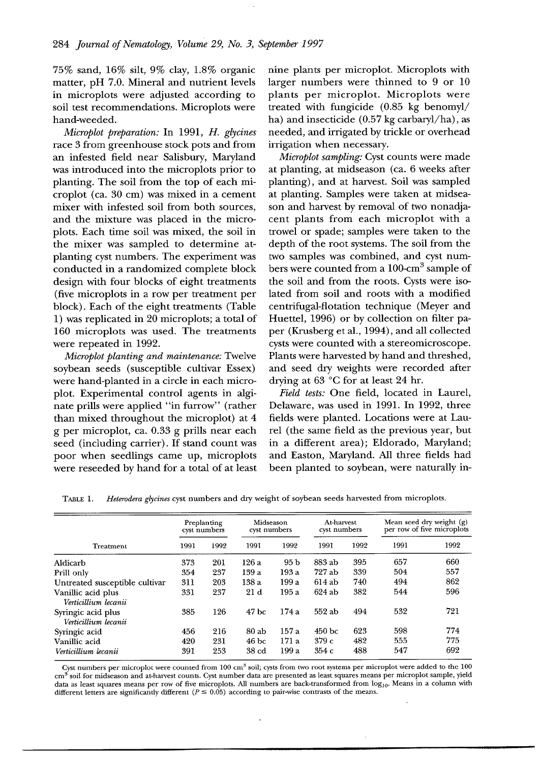75% sand, 16% silt, 9% clay, 1.8% organic matter, pH 7.0. Mineral and nutrient levels in microplots were adjusted according to soil test recommendations. Microplots were hand-weeded.

*Microplot preparation:* In 1991, *H. glycines*  race 3 from greenhouse stock pots and from an infested field near Salisbury, Maryland was introduced into the microplots prior to planting. The soil from the top of each microplot (ca. 30 cm) was mixed in a cement mixer with infested soil from both sources, and the mixture was placed in the microplots. Each time soil was mixed, the soil in the mixer was sampled to determine atplanting cyst numbers. The experiment was conducted in a randomized complete block design with four blocks of eight treatments (five microplots in a row per treatment per block). Each of the eight treatments (Table 1) was replicated in  $20$  microplots; a total of 160 microplots was used. The treatments were repeated in 1992.

*Microplot planting and maintenance:* Twelve soybean seeds (susceptible cultivar Essex) were hand-planted in a circle in each microplot. Experimental control agents in alginate prills were applied "in furrow" (rather than mixed throughout the microplot) at 4 g per microplot, ca. 0.33 g prills near each seed (including carrier). If stand count was poor when seedlings came up, microplots were reseeded by hand for a total of at least nine plants per microplot. Microplots with larger numbers were thinned to 9 or 10 plants per microplot. Microplots were treated with fungicide (0.85 kg benomyl/ ha) and insecticide (0.57 kg carbaryl/ha), as needed, mad irrigated by trickle or overhead irrigation when necessary.

*Microplot sampling: Cyst counts were made* at planting, at midseason (ca. 6 weeks after planting), and at harvest. Soil was sampled at planting. Samples were taken at midseason and harvest by removal of two nonadjacent plants from each microplot with a trowel or spade; samples were taken to the depth of the root systems. The soil from the two samples was combined, and cyst numbers were counted from a 100-cm<sup>3</sup> sample of the soil and from the roots. Cysts were isolated from soil and roots with a modified centrifugal-flotation technique (Meyer and Huettel, 1996) or by collection on filter paper (Krusberg et al., 1994), and all collected cysts were counted with a stereomicroscope. Plants were harvested by hand and threshed, and seed dry weights were recorded after drying at 63 °C for at least 24 hr.

*Field tests:* One field, located in Laurel, Delaware, was used in 1991. In 1992, three fields were planted. Locations were at Laurel (the same field as the previous year, but in a different area); Eldorado, Maryland; and Easton, Maryland. All three fields had been planted to soybean, were naturally in-

| Treatment                                  | Preplanting<br>cyst numbers |      | Midseason<br>cyst numbers |       | At-harvest<br>cyst numbers |      | Mean seed dry weight (g)<br>per row of five microplots |      |
|--------------------------------------------|-----------------------------|------|---------------------------|-------|----------------------------|------|--------------------------------------------------------|------|
|                                            | 1991                        | 1992 | 1991                      | 1992  | 1991                       | 1992 | 1991                                                   | 1992 |
| Aldicarb                                   | 373                         | 201  | 126 a                     | 95 b  | 883 ab                     | 395  | 657                                                    | 660  |
| Prill only                                 | 354                         | 237  | 139a                      | 193 a | 727 ab                     | 339  | 504                                                    | 557  |
| Untreated susceptible cultivar             | 311                         | 203  | 138 a                     | 199 a | 614 ab                     | 740  | 494                                                    | 862  |
| Vanillic acid plus<br>Verticillium lecanii | 331                         | 237  | 21d                       | 195 a | $624$ ab                   | 382  | 544                                                    | 596  |
| Syringic acid plus<br>Verticillium lecanii | 385                         | 126  | 47 <sub>bc</sub>          | 174 a | 552 ab                     | 494  | 532                                                    | 721  |
| Syringic acid                              | 456                         | 216  | 80 ab                     | 157a  | 450 <sub>bc</sub>          | 623  | 598                                                    | 774  |
| Vanillic acid                              | 420                         | 231  | 46 <sub>bc</sub>          | 171a  | 379c                       | 482  | 555                                                    | 775  |
| Verticillium lecanii                       | 391                         | 253  | 38 <sub>cd</sub>          | 199a  | 354c                       | 488  | 547                                                    | 692  |

TABLE 1. *Heterodera g'lycines* cyst numbers and dry weight of soybean seeds harvested from microplots.

Cyst numbers per microplot were counted from 100 cm<sup>3</sup> soil; cysts from two root systems per microplot were added to the 100 cm<sup>3</sup> soil for midseason and at-harvest counts. Cyst number data are presented as least squares means per microplot sample, yield data as least squares means per row of five microplots. All numbers are back-transformed from log10. Means in a column with different letters are significantly different ( $P \le 0.05$ ) according to pair-wise contrasts of the means.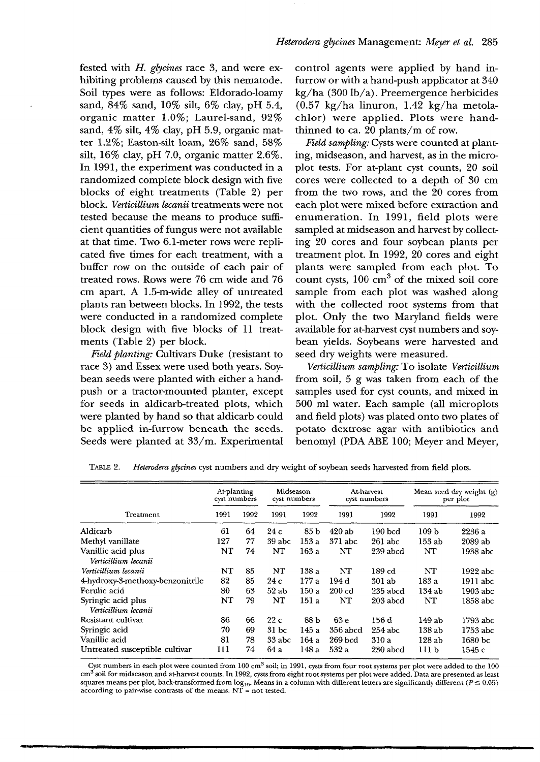fested with *H. glycines* race 3, and were exhibiting problems caused by this nematode. Soil types were as follows: Eldorado-loamy sand, 84% sand, 10% silt, 6% clay, pH 5.4, organic matter 1.0%; Laurel-sand, 92% sand, 4% silt, 4% clay, pH 5.9, organic matter 1.2%; Easton-silt loam, 26% sand, 58% silt, 16% clay, pH 7.0, organic matter 2.6%. In 1991, the experiment was conducted in a randomized complete block design with five blocks of eight treatments (Table 2) per block. *Verticillium lecanii* treatments were not tested because the means to produce sufficient quantities of fungus were not available at that time. Two 6.1-meter rows were replicated five times for each treatment, with a buffer row on the outside of each pair of treated rows. Rows were 76 cm wide and 76 cm apart. A 1.5-m-wide alley of untreated plants ran between blocks. In 1992, the tests were conducted in a randomized complete block design with five blocks of 11 treatments (Table 2) per block.

*Field planting:* Cultivars Duke (resistant to race 3) and Essex were used both years. Soybean seeds were planted with either a handpush or a tractor-mounted planter, except for seeds in aldicarb-treated plots, which were planted by hand so that aldicarb could be applied in-furrow beneath the seeds. Seeds were planted at 33/m. Experimental

control agents were applied by hand infurrow or with a hand-push applicator at 340 kg/ha (300 lb/a). Preemergence herbicides (0.57 kg/ha linuron, 1.42 kg/ha metolachlor) were applied. Plots were handthinned to ca.  $20$  plants/m of row.

*Field sampling:* Cysts were counted at planting, midseason, and harvest, as in the microplot tests. For at-plant cyst counts, 20 soil cores were collected to a depth of 30 cm from the two rows, and the 20 cores from each plot were mixed before extraction and enumeration. In 1991, field plots were sampled at midseason and harvest by collecting 20 cores and four soybean plants per treatment plot. In 1992, 20 cores and eight plants were sampled from each plot. To count cysts,  $100 \text{ cm}^3$  of the mixed soil core sample from each plot was washed along with the collected root systems from that plot. Only the two Maryland fields were available for at-harvest cyst numbers and soybean yields. Soybeans were harvested and seed dry weights were measured.

*Verticillium sampling:* To isolate *Verticillium*  from soil, 5 g was taken from each of the samples used for cyst counts, and mixed in 500 ml water. Each sample (all microplots and field plots) was plated onto two plates of potato dextrose agar with antibiotics and benomyl (PDA ABE 100; Meyer and Meyer,

| Treatment                                  | At-planting<br>cyst numbers |      | Midseason<br>cyst numbers |                 | At harvest<br>cyst numbers |                    | Mean seed dry weight (g)<br>per plot |                    |
|--------------------------------------------|-----------------------------|------|---------------------------|-----------------|----------------------------|--------------------|--------------------------------------|--------------------|
|                                            | 1991                        | 1992 | 1991                      | 1992            | 1991                       | 1992               | 1991                                 | 1992               |
| Aldicarb                                   | 61                          | 64   | 24 c                      | 85 <sub>b</sub> | 420ab                      | $190$ bcd          | 109 <sub>b</sub>                     | 2236 a             |
| Methyl vanillate                           | 127                         | 77   | 39 abc                    | 153 a           | $371$ abc                  | $261$ abc          | $153$ ab                             | $2089$ ab          |
| Vanillic acid plus<br>Verticillium lecanii | NT                          | 74   | NT                        | 163a            | NT                         | 239 abcd           | NT                                   | 1938 abc           |
| Verticillium lecanii                       | NT                          | 85   | NT                        | 138 a           | NT                         | $189\,\mathrm{cd}$ | NT                                   | 1922 abc           |
| 4-hydroxy-3-methoxy-benzonitrile           | 82                          | 85   | 24c                       | 177 a           | 194 d                      | 301ab              | 183 a                                | 1911 abc           |
| Fernlic acid                               | 80                          | 63   | 52ab                      | 150a            | $200$ $cd$                 | $235$ abcd         | 134ab                                | 1903 abc           |
| Syringic acid plus<br>Verticillium lecanii | NT                          | 79   | NT                        | 151 a           | NT                         | 203 abcd           | NT                                   | 1858 abc           |
| Resistant cultivar                         | 86                          | 66   | 22c                       | 88 b            | 63 <sub>e</sub>            | 156d               | 149 ab                               | 1793 abc           |
| Syringic acid                              | 70                          | 69   | 31 <sub>bc</sub>          | 145 a           | 356 abcd                   | $254$ abc          | 138ab                                | 1753 abc           |
| Vanillic acid                              | 81                          | 78   | 33 abc                    | 164 a           | $269$ bcd                  | 310 a              | 128ab                                | 1680 <sub>bc</sub> |
| Untreated susceptible cultivar             | 111                         | 74   | 64 a                      | 148 a           | 532 a                      | 230 abcd           | 111 b                                | 1545 с             |

TABLE 2. *Heterodera glycines* cyst numbers and dry weight of soybean seeds harvested from field plots.

Cyst numbers in each plot were counted from  $100 \text{ cm}^3$  soil; in 1991, cysts from four root systems per plot were added to the  $100$ cm<sup>3</sup> soil for midseason and at-harvest counts. In 1992, cysts from eight root systems per plot were added. Data are presented as least squares means per plot, back-transformed from  $log_{10}$ . Means in a column with different letters are significantly different ( $P \leq 0.05$ ) according to pair-wise contrasts of the means.  $NT = not$  tested.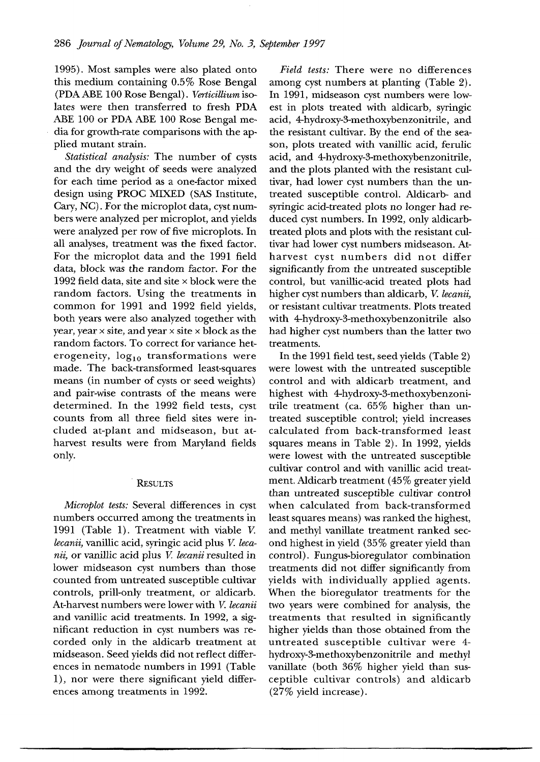1995). Most samples were also plated onto this medium containing 0.5% Rose Bengal (PDA ABE 100 Rose Bengal). *Verticillium* isolates were then transferred to fresh PDA ABE 100 or PDA ABE 100 Rose Bengal media for growth-rate comparisons with the applied mutant strain.

*Statistical analysis:* The number of cysts and the dry weight of seeds were analyzed for each time period as a one-factor mixed design using PROC MIXED (SAS Institute, Cary, NC). For the microplot data, cyst numbers were analyzed per microplot, and yields were analyzed per row of five microplots. In all analyses, treatment was the fixed factor. For the microplot data and the 1991 field data, block was the random factor. For the 1992 field data, site and site  $\times$  block were the random factors. Using the treatments in common for 1991 and 1992 field yields, both years were also analyzed together with year, year  $\times$  site, and year  $\times$  site  $\times$  block as the random factors. To correct for variance heterogeneity,  $log_{10}$  transformations were made. The back-transformed least-squares means (in number of cysts or seed weights) and pair-wise contrasts of the means were determined. In the 1992 field tests, cyst counts from all three field sites were included at-plant and midseason, but atharvest results were from Maryland fields only.

## **RESULTS**

*Microplot tests:* Several differences in cyst numbers occurred among the treatments in 1991 (Table 1). Treatment with viable V. *lecanii,* vanillic acid, syringic acid plus V. *lecanil,* or vanillic acid plus V. *lecanii* resulted in lower midseason cyst numbers than those counted from untreated susceptible cultivar controls, prill-only treatment, or aldicarb. At-harvest numbers were lower with V. *lecanii*  and vanillic acid treatments. In 1992, a significant reduction in cyst numbers was recorded only in the aldicarb treatment at midseason. Seed yields did not reflect differences in nematode numbers in 1991 (Table 1), nor were there significant yield differences among treatments in 1992.

*Field tests:* There were no differences among cyst numbers at planting (Table 2). In 1991, midseason cyst numbers were lowest in plots treated with aldicarb, syringic acid, 4-hydroxy-3-methoxybenzonitrile, and the resistant cultivar. By the end of the season, plots treated with vanillic acid, ferulic acid, and 4-hydroxy-3-methoxybenzonitrile, and the plots planted with the resistant cultivar, had lower cyst numbers than the untreated susceptible control. Aldicarb- and syringic acid-treated plots no longer had reduced cyst numbers. In 1992, only aldicarbtreated plots and plots with the resistant cultivar had lower cyst numbers midseason. Atharvest cyst numbers did not differ significantly from the untreated susceptible control, but vanillic-acid treated plots had higher cyst numbers than aldicarb, V. *lecanii,*  or resistant cultivar treatments. Plots treated with 4-hydroxy-3-methoxybenzonitrile also had higher cyst numbers than the latter two treatments.

In the 1991 field test, seed yields (Table 2) were lowest with the untreated susceptible control and with aldicarb treatment, and highest with 4-hydroxy-3-methoxybenzonitrile treatment (ca. 65% higher than untreated susceptible control; yield increases calculated from back-transformed least squares means in Table 2). In 1992, yields were lowest with the untreated susceptible cultivar control and with vanillic acid treatment. Aldicarb treatment (45% greater yield than untreated susceptible cultivar control when calculated from back-transformed least squares means) was ranked the highest, and methyl vanillate treatment ranked second highest in yield (35% greater yield than control). Fungus-bioregulator combination treatments did not differ significantly from yields with individually applied agents. When the bioregulator treatments for the two years were combined for analysis, the treatments that resulted in significantly higher yields than those obtained from the untreated susceptible cultivar were 4 hydroxy-3-methoxybenzonitrile and methyl vanillate (both 36% higher yield than susceptible cultivar controls) and aldicarb (27% yield increase).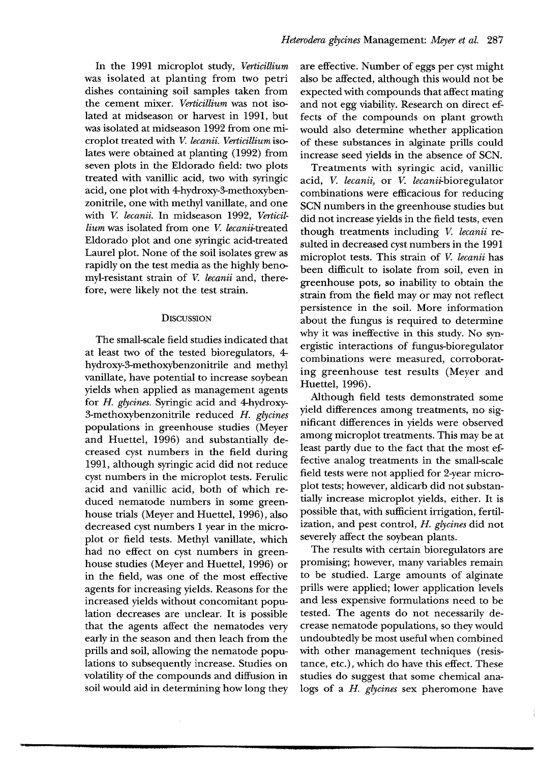In the 1991 microplot study, *Verticillium*  was isolated at planting from two petri dishes containing soil samples taken from the cement mixer. Verticillium was not isolated at midseason or harvest in 1991, but was isolated at midseason 1992 from one microplot treated with V. *lecanii. Verticillium* isolates were obtained at planting (1992) from seven plots in the Eldorado field: two plots treated with vanillic acid, two with syringic acid, one plot with 4-hydroxy-3-methoxybenzonitrile, one with methyl vanillate, and one with V. *lecanii.* In midseason 1992, *Verticillium* was isolated from one V. *lecanii-treated*  Eldorado plot and one syringic acid-treated Laurel plot. None of the soil isolates grew as rapidly on the test media as the highly benomyl-resistant strain of V. *lecanii* and, therefore, were likely not the test strain.

## **DISCUSSION**

The small-scale field studies indicated that at least two of the tested bioregulators, 4 hydroxy-3-methoxybenzonitrile and methyl vanillate, have potential to increase soybean yields when applied as management agents for *H. glycines.* Syringic acid and 4-hydroxy-3-methoxybenzonitrile reduced *H. glycines*  populations in greenhouse studies (Meyer and Huettel, 1996) and substantially decreased cyst numbers in the field during 1991, although syringic acid did not reduce cyst numbers in the microplot tests. Ferulic acid and vanillic acid, both of which reduced nematode numbers in some greenhouse trials (Meyer and Huettel, 1996), also decreased cyst numbers 1 year in the microplot or field tests. Methyl vanillate, which had no effect on cyst numbers in greenhouse studies (Meyer and Huettel, 1996) or in the field, was one of the most effective agents for increasing yields. Reasons for the increased yields without concomitant population decreases are unclear. It is possible that the agents affect the nematodes very early in the season and then leach from the prills and soil, allowing the nematode populations to subsequently increase. Studies on volatility of the compounds and diffusion in soil would aid in determining how long they are effective. Number of eggs per cyst might also be affected, although this would not be expected with compounds that affect mating and not egg viability. Research on direct effects of the compounds on plant growth would also determine whether application of these substances in alginate prills could increase seed yields in the absence of SCN.

Treatments with syringic acid, vanillic acid, V. *lecanii,* or V. *lecanii-bioregulator*  combinations were efficacious for reducing SCN numbers in the greenhouse studies but did not increase yields in the field tests, even though treatments including K *lecanii* resulted in decreased cyst numbers in the 1991 microplot tests. This strain of V. *lecanii* has been difficult to isolate from soil, even in greenhouse pots, so inability to obtain the strain from the field may or may not reflect persistence in the soil. More information about the fungus is required to determine why it was ineffective in this study. No synergistic interactions of fungus-bioregulator combinations were measured, corroborating greenhouse test results (Meyer and Huettel, 1996).

Although field tests demonstrated some yield differences among treatments, no significant differences in yields were observed among microplot treatments. This may be at least partly due to the fact that the most effective analog treatments in the small-scale field tests were not applied for 2-year microplot tests; however, aldicarb did not substantially increase microplot yields, either. It is possible that, with sufficient irrigation, fertilization, and pest control, *H. glycines* did not severely affect the soybean plants.

The results with certain bioregulators are promising; however, many variables remain to be studied. Large amounts of alginate prills were applied; lower application levels and less expensive formulations need to be tested. The agents do not necessarily decrease nematode populations, so they would undoubtedly be most useful when combined with other management techniques (resistance, etc.), which do have this effect. These studies do suggest that some chemical analogs of *a H. glycines* sex pheromone have